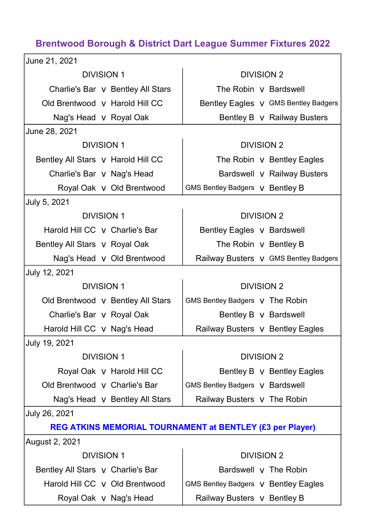## Brentwood Borough & District Dart League Summer Fixtures 2022

| June 21, 2021                      |                                                           |  |  |  |
|------------------------------------|-----------------------------------------------------------|--|--|--|
| <b>DIVISION 1</b>                  | <b>DIVISION 2</b>                                         |  |  |  |
| Charlie's Bar v Bentley All Stars  | The Robin V Bardswell                                     |  |  |  |
| Old Brentwood y Harold Hill CC     | Bentley Eagles v GMS Bentley Badgers                      |  |  |  |
| Nag's Head v Royal Oak             | Bentley B v Railway Busters                               |  |  |  |
| June 28, 2021                      |                                                           |  |  |  |
| <b>DIVISION 1</b>                  | <b>DIVISION 2</b>                                         |  |  |  |
| Bentley All Stars v Harold Hill CC | The Robin V Bentley Eagles                                |  |  |  |
| Charlie's Bar v Nag's Head         | Bardswell v Railway Busters                               |  |  |  |
| Royal Oak v Old Brentwood          | GMS Bentley Badgers V Bentley B                           |  |  |  |
| July 5, 2021                       |                                                           |  |  |  |
| <b>DIVISION 1</b>                  | <b>DIVISION 2</b>                                         |  |  |  |
| Harold Hill CC v Charlie's Bar     | Bentley Eagles v Bardswell                                |  |  |  |
| Bentley All Stars v Royal Oak      | The Robin v Bentley B                                     |  |  |  |
| Nag's Head v Old Brentwood         | Railway Busters V GMS Bentley Badgers                     |  |  |  |
| July 12, 2021                      |                                                           |  |  |  |
|                                    |                                                           |  |  |  |
| <b>DIVISION 1</b>                  | <b>DIVISION 2</b>                                         |  |  |  |
| Old Brentwood v Bentley All Stars  | GMS Bentley Badgers v The Robin                           |  |  |  |
| Charlie's Bar v Royal Oak          | Bentley B v Bardswell                                     |  |  |  |
| Harold Hill CC v Nag's Head        | Railway Busters v Bentley Eagles                          |  |  |  |
| July 19, 2021                      |                                                           |  |  |  |
| <b>DIVISION 1</b>                  | <b>DIVISION 2</b>                                         |  |  |  |
| Royal Oak v Harold Hill CC         | Bentley B v Bentley Eagles                                |  |  |  |
| Old Brentwood v Charlie's Bar      | <b>GMS Bentley Badgers V Bardswell</b>                    |  |  |  |
| Nag's Head v Bentley All Stars     | Railway Busters v The Robin                               |  |  |  |
| July 26, 2021                      |                                                           |  |  |  |
|                                    | REG ATKINS MEMORIAL TOURNAMENT at BENTLEY (£3 per Player) |  |  |  |
| August 2, 2021                     |                                                           |  |  |  |
| <b>DIVISION 1</b>                  | <b>DIVISION 2</b>                                         |  |  |  |
| Bentley All Stars v Charlie's Bar  | Bardswell v The Robin                                     |  |  |  |
| Harold Hill CC y Old Brentwood     | GMS Bentley Badgers v Bentley Eagles                      |  |  |  |